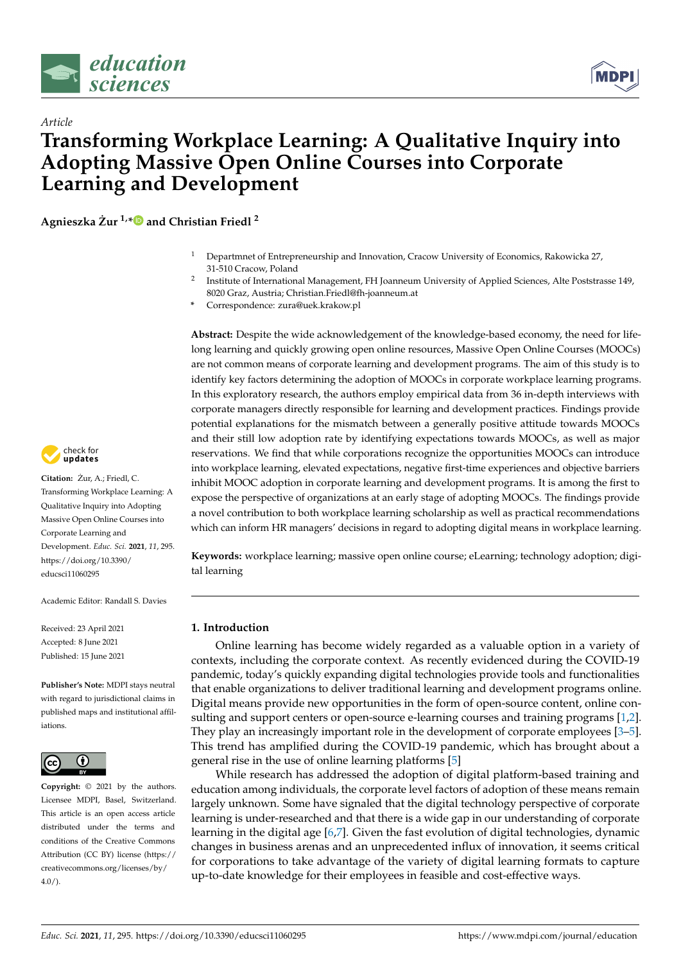



# *Article* **Transforming Workplace Learning: A Qualitative Inquiry into Adopting Massive Open Online Courses into Corporate Learning and Development**

**Agnieszka Zur ˙ 1,[\\*](https://orcid.org/0000-0002-0535-0996) and Christian Friedl <sup>2</sup>**

- <sup>1</sup> Departmnet of Entrepreneurship and Innovation, Cracow University of Economics, Rakowicka 27, 31-510 Cracow, Poland
- 2 Institute of International Management, FH Joanneum University of Applied Sciences, Alte Poststrasse 149, 8020 Graz, Austria; Christian.Friedl@fh-joanneum.at
- **\*** Correspondence: zura@uek.krakow.pl

**Abstract:** Despite the wide acknowledgement of the knowledge-based economy, the need for lifelong learning and quickly growing open online resources, Massive Open Online Courses (MOOCs) are not common means of corporate learning and development programs. The aim of this study is to identify key factors determining the adoption of MOOCs in corporate workplace learning programs. In this exploratory research, the authors employ empirical data from 36 in-depth interviews with corporate managers directly responsible for learning and development practices. Findings provide potential explanations for the mismatch between a generally positive attitude towards MOOCs and their still low adoption rate by identifying expectations towards MOOCs, as well as major reservations. We find that while corporations recognize the opportunities MOOCs can introduce into workplace learning, elevated expectations, negative first-time experiences and objective barriers inhibit MOOC adoption in corporate learning and development programs. It is among the first to expose the perspective of organizations at an early stage of adopting MOOCs. The findings provide a novel contribution to both workplace learning scholarship as well as practical recommendations which can inform HR managers' decisions in regard to adopting digital means in workplace learning.

**Keywords:** workplace learning; massive open online course; eLearning; technology adoption; digital learning

## **1. Introduction**

Online learning has become widely regarded as a valuable option in a variety of contexts, including the corporate context. As recently evidenced during the COVID-19 pandemic, today's quickly expanding digital technologies provide tools and functionalities that enable organizations to deliver traditional learning and development programs online. Digital means provide new opportunities in the form of open-source content, online consulting and support centers or open-source e-learning courses and training programs [\[1](#page-12-0)[,2\]](#page-12-1). They play an increasingly important role in the development of corporate employees [\[3](#page-12-2)[–5\]](#page-12-3). This trend has amplified during the COVID-19 pandemic, which has brought about a general rise in the use of online learning platforms [\[5\]](#page-12-3)

While research has addressed the adoption of digital platform-based training and education among individuals, the corporate level factors of adoption of these means remain largely unknown. Some have signaled that the digital technology perspective of corporate learning is under-researched and that there is a wide gap in our understanding of corporate learning in the digital age [\[6](#page-12-4)[,7\]](#page-12-5). Given the fast evolution of digital technologies, dynamic changes in business arenas and an unprecedented influx of innovation, it seems critical for corporations to take advantage of the variety of digital learning formats to capture up-to-date knowledge for their employees in feasible and cost-effective ways.



**Citation:** Zur, A.; Friedl, C. ˙ Transforming Workplace Learning: A Qualitative Inquiry into Adopting Massive Open Online Courses into Corporate Learning and Development. *Educ. Sci.* **2021**, *11*, 295. [https://doi.org/10.3390/](https://doi.org/10.3390/educsci11060295) [educsci11060295](https://doi.org/10.3390/educsci11060295)

Academic Editor: Randall S. Davies

Received: 23 April 2021 Accepted: 8 June 2021 Published: 15 June 2021

**Publisher's Note:** MDPI stays neutral with regard to jurisdictional claims in published maps and institutional affiliations.



**Copyright:** © 2021 by the authors. Licensee MDPI, Basel, Switzerland. This article is an open access article distributed under the terms and conditions of the Creative Commons Attribution (CC BY) license (https:/[/](https://creativecommons.org/licenses/by/4.0/) [creativecommons.org/licenses/by/](https://creativecommons.org/licenses/by/4.0/)  $4.0/$ ).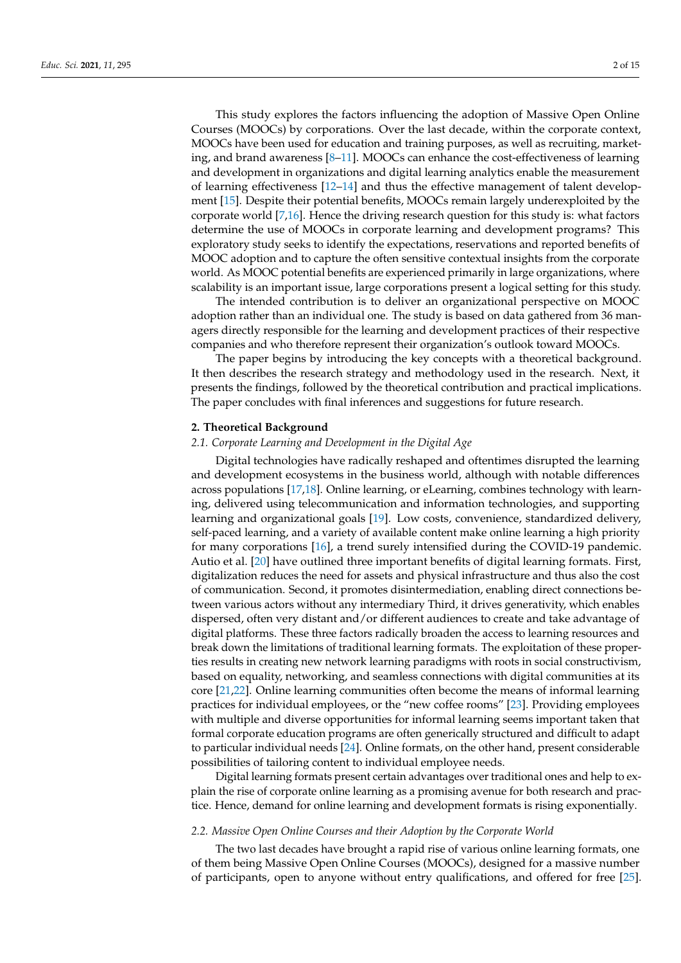This study explores the factors influencing the adoption of Massive Open Online Courses (MOOCs) by corporations. Over the last decade, within the corporate context, MOOCs have been used for education and training purposes, as well as recruiting, marketing, and brand awareness [\[8–](#page-12-6)[11\]](#page-12-7). MOOCs can enhance the cost-effectiveness of learning and development in organizations and digital learning analytics enable the measurement of learning effectiveness [\[12](#page-12-8)[–14\]](#page-12-9) and thus the effective management of talent development [\[15\]](#page-12-10). Despite their potential benefits, MOOCs remain largely underexploited by the corporate world [\[7,](#page-12-5)[16\]](#page-12-11). Hence the driving research question for this study is: what factors determine the use of MOOCs in corporate learning and development programs? This exploratory study seeks to identify the expectations, reservations and reported benefits of MOOC adoption and to capture the often sensitive contextual insights from the corporate world. As MOOC potential benefits are experienced primarily in large organizations, where scalability is an important issue, large corporations present a logical setting for this study.

The intended contribution is to deliver an organizational perspective on MOOC adoption rather than an individual one. The study is based on data gathered from 36 managers directly responsible for the learning and development practices of their respective companies and who therefore represent their organization's outlook toward MOOCs.

The paper begins by introducing the key concepts with a theoretical background. It then describes the research strategy and methodology used in the research. Next, it presents the findings, followed by the theoretical contribution and practical implications. The paper concludes with final inferences and suggestions for future research.

#### **2. Theoretical Background**

## *2.1. Corporate Learning and Development in the Digital Age*

Digital technologies have radically reshaped and oftentimes disrupted the learning and development ecosystems in the business world, although with notable differences across populations [\[17,](#page-12-12)[18\]](#page-12-13). Online learning, or eLearning, combines technology with learning, delivered using telecommunication and information technologies, and supporting learning and organizational goals [\[19\]](#page-12-14). Low costs, convenience, standardized delivery, self-paced learning, and a variety of available content make online learning a high priority for many corporations [\[16\]](#page-12-11), a trend surely intensified during the COVID-19 pandemic. Autio et al. [\[20\]](#page-12-15) have outlined three important benefits of digital learning formats. First, digitalization reduces the need for assets and physical infrastructure and thus also the cost of communication. Second, it promotes disintermediation, enabling direct connections between various actors without any intermediary Third, it drives generativity, which enables dispersed, often very distant and/or different audiences to create and take advantage of digital platforms. These three factors radically broaden the access to learning resources and break down the limitations of traditional learning formats. The exploitation of these properties results in creating new network learning paradigms with roots in social constructivism, based on equality, networking, and seamless connections with digital communities at its core [\[21,](#page-13-0)[22\]](#page-13-1). Online learning communities often become the means of informal learning practices for individual employees, or the "new coffee rooms" [\[23\]](#page-13-2). Providing employees with multiple and diverse opportunities for informal learning seems important taken that formal corporate education programs are often generically structured and difficult to adapt to particular individual needs [\[24\]](#page-13-3). Online formats, on the other hand, present considerable possibilities of tailoring content to individual employee needs.

Digital learning formats present certain advantages over traditional ones and help to explain the rise of corporate online learning as a promising avenue for both research and practice. Hence, demand for online learning and development formats is rising exponentially.

## *2.2. Massive Open Online Courses and their Adoption by the Corporate World*

The two last decades have brought a rapid rise of various online learning formats, one of them being Massive Open Online Courses (MOOCs), designed for a massive number of participants, open to anyone without entry qualifications, and offered for free [\[25\]](#page-13-4).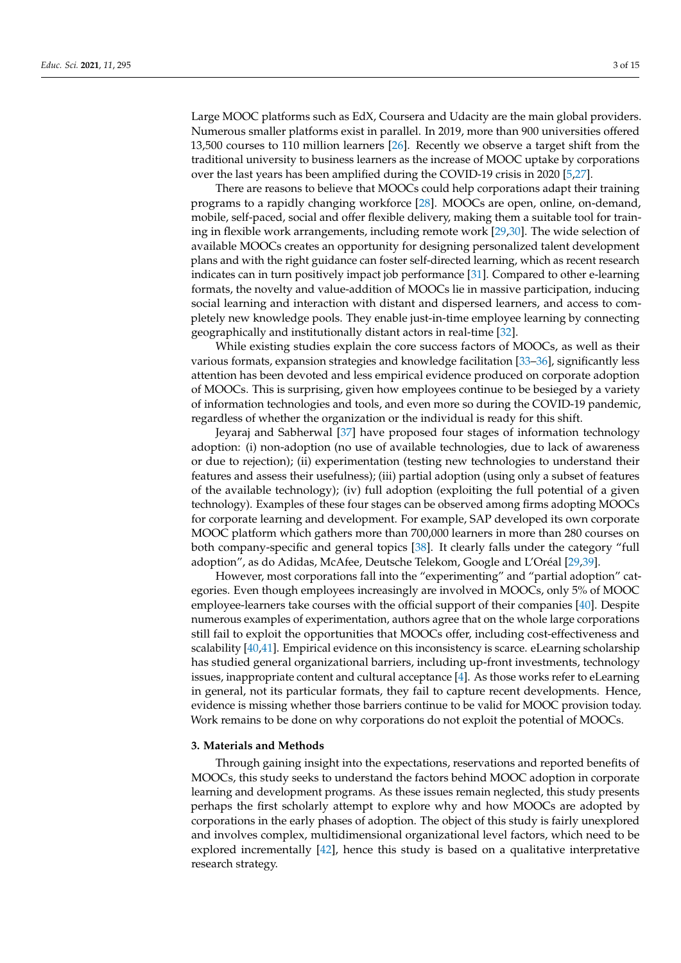Large MOOC platforms such as EdX, Coursera and Udacity are the main global providers. Numerous smaller platforms exist in parallel. In 2019, more than 900 universities offered 13,500 courses to 110 million learners [\[26\]](#page-13-5). Recently we observe a target shift from the traditional university to business learners as the increase of MOOC uptake by corporations over the last years has been amplified during the COVID-19 crisis in 2020 [\[5](#page-12-3)[,27\]](#page-13-6).

There are reasons to believe that MOOCs could help corporations adapt their training programs to a rapidly changing workforce [\[28\]](#page-13-7). MOOCs are open, online, on-demand, mobile, self-paced, social and offer flexible delivery, making them a suitable tool for training in flexible work arrangements, including remote work [\[29,](#page-13-8)[30\]](#page-13-9). The wide selection of available MOOCs creates an opportunity for designing personalized talent development plans and with the right guidance can foster self-directed learning, which as recent research indicates can in turn positively impact job performance [\[31\]](#page-13-10). Compared to other e-learning formats, the novelty and value-addition of MOOCs lie in massive participation, inducing social learning and interaction with distant and dispersed learners, and access to completely new knowledge pools. They enable just-in-time employee learning by connecting geographically and institutionally distant actors in real-time [\[32\]](#page-13-11).

While existing studies explain the core success factors of MOOCs, as well as their various formats, expansion strategies and knowledge facilitation [\[33](#page-13-12)[–36\]](#page-13-13), significantly less attention has been devoted and less empirical evidence produced on corporate adoption of MOOCs. This is surprising, given how employees continue to be besieged by a variety of information technologies and tools, and even more so during the COVID-19 pandemic, regardless of whether the organization or the individual is ready for this shift.

Jeyaraj and Sabherwal [\[37\]](#page-13-14) have proposed four stages of information technology adoption: (i) non-adoption (no use of available technologies, due to lack of awareness or due to rejection); (ii) experimentation (testing new technologies to understand their features and assess their usefulness); (iii) partial adoption (using only a subset of features of the available technology); (iv) full adoption (exploiting the full potential of a given technology). Examples of these four stages can be observed among firms adopting MOOCs for corporate learning and development. For example, SAP developed its own corporate MOOC platform which gathers more than 700,000 learners in more than 280 courses on both company-specific and general topics [\[38\]](#page-13-15). It clearly falls under the category "full adoption", as do Adidas, McAfee, Deutsche Telekom, Google and L'Oréal [\[29](#page-13-8)[,39\]](#page-13-16).

However, most corporations fall into the "experimenting" and "partial adoption" categories. Even though employees increasingly are involved in MOOCs, only 5% of MOOC employee-learners take courses with the official support of their companies [\[40\]](#page-13-17). Despite numerous examples of experimentation, authors agree that on the whole large corporations still fail to exploit the opportunities that MOOCs offer, including cost-effectiveness and scalability [\[40,](#page-13-17)[41\]](#page-13-18). Empirical evidence on this inconsistency is scarce. eLearning scholarship has studied general organizational barriers, including up-front investments, technology issues, inappropriate content and cultural acceptance [\[4\]](#page-12-16). As those works refer to eLearning in general, not its particular formats, they fail to capture recent developments. Hence, evidence is missing whether those barriers continue to be valid for MOOC provision today. Work remains to be done on why corporations do not exploit the potential of MOOCs.

#### **3. Materials and Methods**

Through gaining insight into the expectations, reservations and reported benefits of MOOCs, this study seeks to understand the factors behind MOOC adoption in corporate learning and development programs. As these issues remain neglected, this study presents perhaps the first scholarly attempt to explore why and how MOOCs are adopted by corporations in the early phases of adoption. The object of this study is fairly unexplored and involves complex, multidimensional organizational level factors, which need to be explored incrementally [\[42\]](#page-13-19), hence this study is based on a qualitative interpretative research strategy.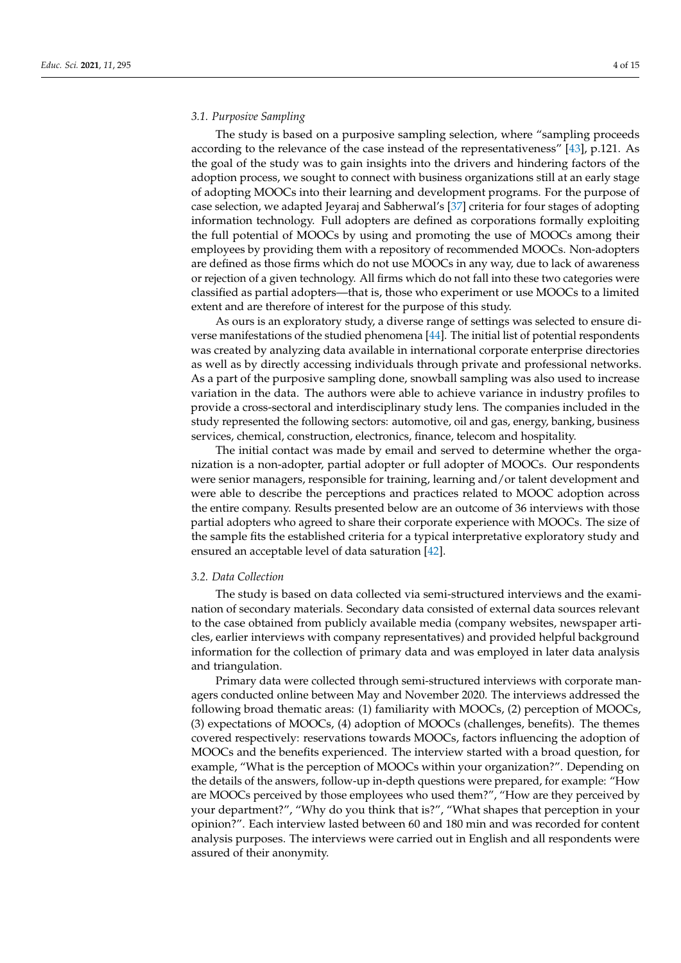#### *3.1. Purposive Sampling*

The study is based on a purposive sampling selection, where "sampling proceeds according to the relevance of the case instead of the representativeness" [\[43\]](#page-13-20), p.121. As the goal of the study was to gain insights into the drivers and hindering factors of the adoption process, we sought to connect with business organizations still at an early stage of adopting MOOCs into their learning and development programs. For the purpose of case selection, we adapted Jeyaraj and Sabherwal's [\[37\]](#page-13-14) criteria for four stages of adopting information technology. Full adopters are defined as corporations formally exploiting the full potential of MOOCs by using and promoting the use of MOOCs among their employees by providing them with a repository of recommended MOOCs. Non-adopters are defined as those firms which do not use MOOCs in any way, due to lack of awareness or rejection of a given technology. All firms which do not fall into these two categories were classified as partial adopters—that is, those who experiment or use MOOCs to a limited extent and are therefore of interest for the purpose of this study.

As ours is an exploratory study, a diverse range of settings was selected to ensure diverse manifestations of the studied phenomena [\[44\]](#page-13-21). The initial list of potential respondents was created by analyzing data available in international corporate enterprise directories as well as by directly accessing individuals through private and professional networks. As a part of the purposive sampling done, snowball sampling was also used to increase variation in the data. The authors were able to achieve variance in industry profiles to provide a cross-sectoral and interdisciplinary study lens. The companies included in the study represented the following sectors: automotive, oil and gas, energy, banking, business services, chemical, construction, electronics, finance, telecom and hospitality.

The initial contact was made by email and served to determine whether the organization is a non-adopter, partial adopter or full adopter of MOOCs. Our respondents were senior managers, responsible for training, learning and/or talent development and were able to describe the perceptions and practices related to MOOC adoption across the entire company. Results presented below are an outcome of 36 interviews with those partial adopters who agreed to share their corporate experience with MOOCs. The size of the sample fits the established criteria for a typical interpretative exploratory study and ensured an acceptable level of data saturation [\[42\]](#page-13-19).

#### *3.2. Data Collection*

The study is based on data collected via semi-structured interviews and the examination of secondary materials. Secondary data consisted of external data sources relevant to the case obtained from publicly available media (company websites, newspaper articles, earlier interviews with company representatives) and provided helpful background information for the collection of primary data and was employed in later data analysis and triangulation.

Primary data were collected through semi-structured interviews with corporate managers conducted online between May and November 2020. The interviews addressed the following broad thematic areas: (1) familiarity with MOOCs, (2) perception of MOOCs, (3) expectations of MOOCs, (4) adoption of MOOCs (challenges, benefits). The themes covered respectively: reservations towards MOOCs, factors influencing the adoption of MOOCs and the benefits experienced. The interview started with a broad question, for example, "What is the perception of MOOCs within your organization?". Depending on the details of the answers, follow-up in-depth questions were prepared, for example: "How are MOOCs perceived by those employees who used them?", "How are they perceived by your department?", "Why do you think that is?", "What shapes that perception in your opinion?". Each interview lasted between 60 and 180 min and was recorded for content analysis purposes. The interviews were carried out in English and all respondents were assured of their anonymity.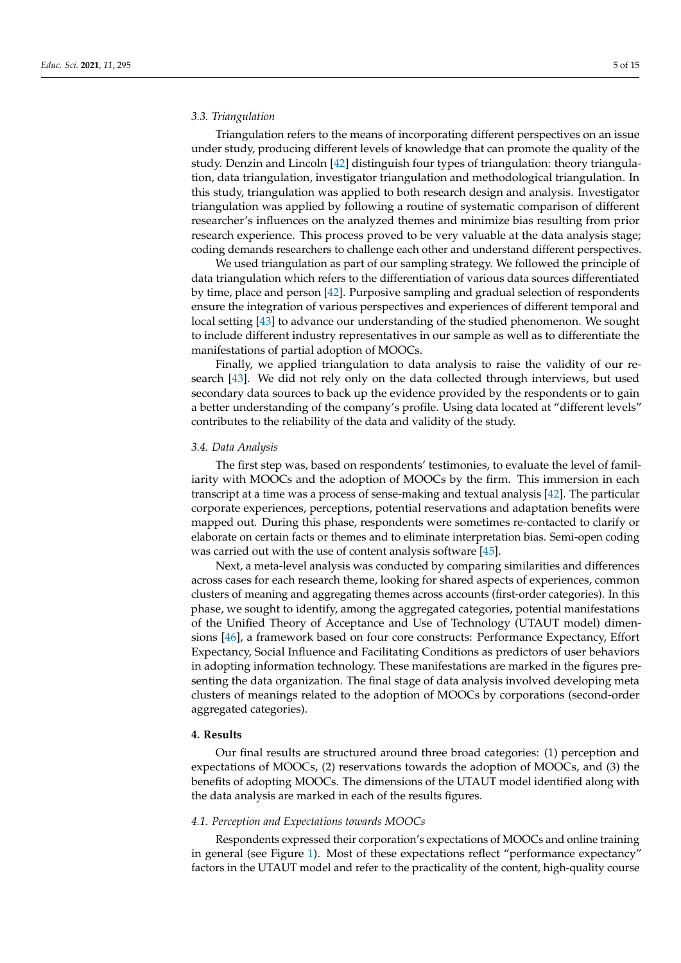## *3.3. Triangulation*

Triangulation refers to the means of incorporating different perspectives on an issue under study, producing different levels of knowledge that can promote the quality of the study. Denzin and Lincoln [\[42\]](#page-13-19) distinguish four types of triangulation: theory triangulation, data triangulation, investigator triangulation and methodological triangulation. In this study, triangulation was applied to both research design and analysis. Investigator triangulation was applied by following a routine of systematic comparison of different researcher's influences on the analyzed themes and minimize bias resulting from prior research experience. This process proved to be very valuable at the data analysis stage; coding demands researchers to challenge each other and understand different perspectives.

We used triangulation as part of our sampling strategy. We followed the principle of data triangulation which refers to the differentiation of various data sources differentiated by time, place and person [\[42\]](#page-13-19). Purposive sampling and gradual selection of respondents ensure the integration of various perspectives and experiences of different temporal and local setting [\[43\]](#page-13-20) to advance our understanding of the studied phenomenon. We sought to include different industry representatives in our sample as well as to differentiate the manifestations of partial adoption of MOOCs.

Finally, we applied triangulation to data analysis to raise the validity of our research [\[43\]](#page-13-20). We did not rely only on the data collected through interviews, but used secondary data sources to back up the evidence provided by the respondents or to gain a better understanding of the company's profile. Using data located at "different levels" contributes to the reliability of the data and validity of the study.

#### *3.4. Data Analysis*

The first step was, based on respondents' testimonies, to evaluate the level of familiarity with MOOCs and the adoption of MOOCs by the firm. This immersion in each transcript at a time was a process of sense-making and textual analysis [\[42\]](#page-13-19). The particular corporate experiences, perceptions, potential reservations and adaptation benefits were mapped out. During this phase, respondents were sometimes re-contacted to clarify or elaborate on certain facts or themes and to eliminate interpretation bias. Semi-open coding was carried out with the use of content analysis software [\[45\]](#page-13-22).

Next, a meta-level analysis was conducted by comparing similarities and differences across cases for each research theme, looking for shared aspects of experiences, common clusters of meaning and aggregating themes across accounts (first-order categories). In this phase, we sought to identify, among the aggregated categories, potential manifestations of the Unified Theory of Acceptance and Use of Technology (UTAUT model) dimensions [\[46\]](#page-13-23), a framework based on four core constructs: Performance Expectancy, Effort Expectancy, Social Influence and Facilitating Conditions as predictors of user behaviors in adopting information technology. These manifestations are marked in the figures presenting the data organization. The final stage of data analysis involved developing meta clusters of meanings related to the adoption of MOOCs by corporations (second-order aggregated categories).

## **4. Results**

Our final results are structured around three broad categories: (1) perception and expectations of MOOCs, (2) reservations towards the adoption of MOOCs, and (3) the benefits of adopting MOOCs. The dimensions of the UTAUT model identified along with the data analysis are marked in each of the results figures.

## *4.1. Perception and Expectations towards MOOCs*

Respondents expressed their corporation's expectations of MOOCs and online training in general (see Figure [1\)](#page-5-0). Most of these expectations reflect "performance expectancy" factors in the UTAUT model and refer to the practicality of the content, high-quality course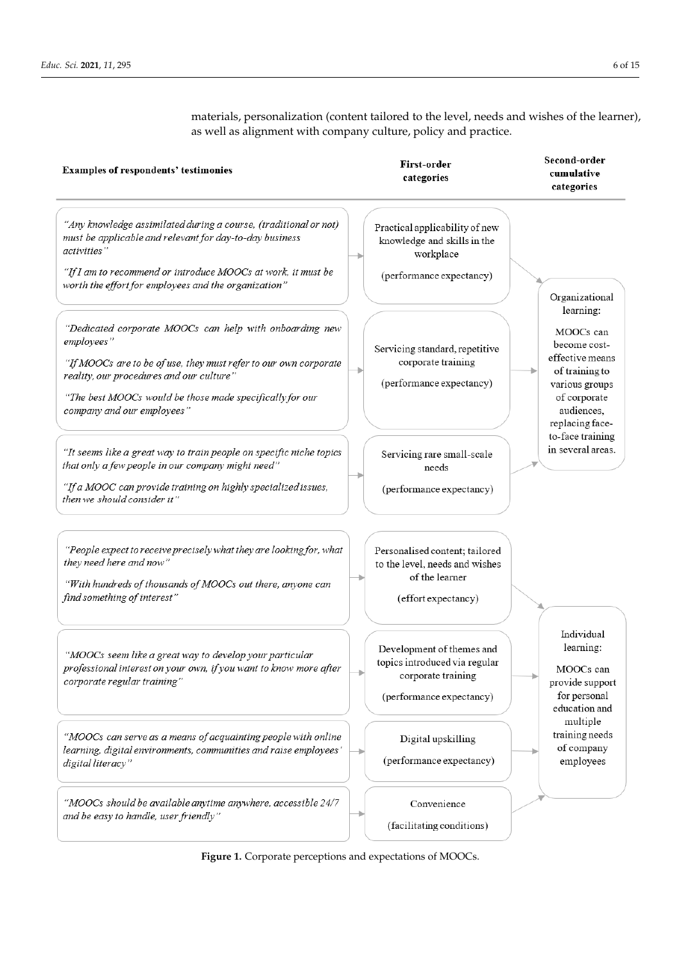<span id="page-5-0"></span>Second-order First-order **Examples of respondents' testimonies** cumulative categories categories "Any knowledge assimilated during a course, (traditional or not) Practical applicability of new must be applicable and relevant for day-to-day business knowledge and skills in the activities" workplace "If I am to recommend or introduce MOOCs at work, it must be (performance expectancy) worth the effort for employees and the organization" Organizational learning: "Dedicated corporate MOOCs can help with onboarding new MOOCs can employees' become cost-Servicing standard, repetitive effective means corporate training "If MOOCs are to be of use, they must refer to our own corporate of training to reality, our procedures and our culture" (performance expectancy) various groups "The best MOOCs would be those made specifically for our of corporate company and our employees" audiences, replacing faceto-face training in several areas. "It seems like a great way to train people on specific niche topics Servicing rare small-scale that only a few people in our company might need" needs "If a MOOC can provide training on highly specialized issues, (performance expectancy) then we should consider it" "People expect to receive precisely what they are looking for, what Personalised content; tailored they need here and now" to the level, needs and wishes of the learner "With hundreds of thousands of MOOCs out there, anyone can find something of interest" (effort expectancy) Individual learning: Development of themes and "MOOCs seem like a great way to develop your particular topics introduced via regular professional interest on your own, if you want to know more after MOOCs can corporate training corporate regular training" provide support for personal (performance expectancy) education and multiple training needs "MOOCs can serve as a means of acquainting people with online Digital upskilling of company learning, digital environments, communities and raise employees' (performance expectancy) employees digital literacy" "MOOCs should be available anytime anywhere, accessible 24/7 Convenience and be easy to handle, user friendly' (facilitating conditions)

materials, personalization (content tailored to the level, needs and wishes of the learner), as well as alignment with company culture, policy and practice.

**Figure 1.** Corporate perceptions and expectations of MOOCs.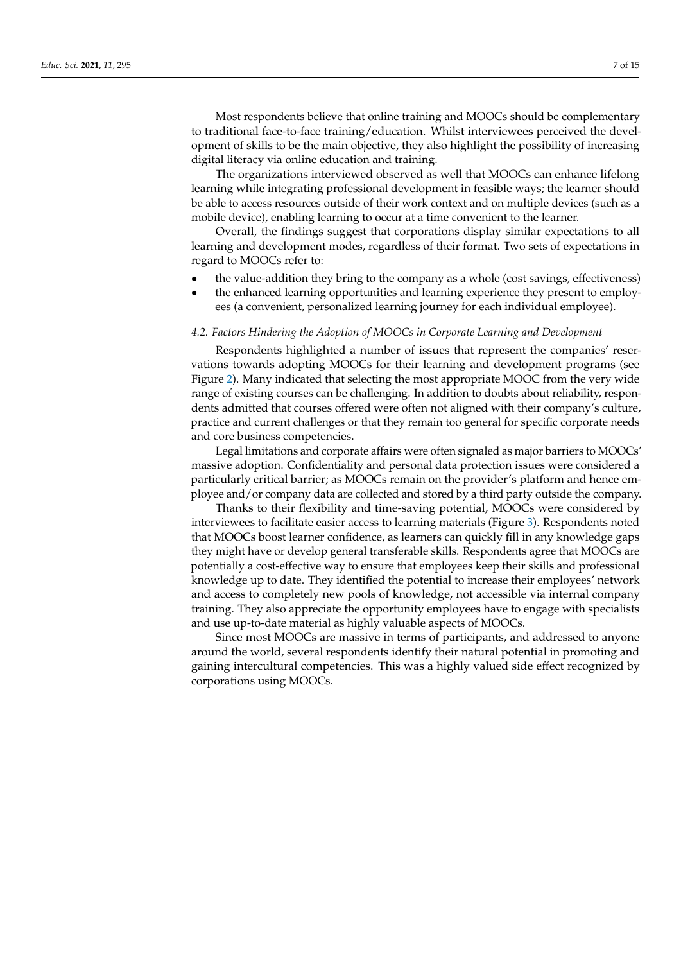Most respondents believe that online training and MOOCs should be complementary to traditional face-to-face training/education. Whilst interviewees perceived the development of skills to be the main objective, they also highlight the possibility of increasing digital literacy via online education and training.

The organizations interviewed observed as well that MOOCs can enhance lifelong learning while integrating professional development in feasible ways; the learner should be able to access resources outside of their work context and on multiple devices (such as a mobile device), enabling learning to occur at a time convenient to the learner.

Overall, the findings suggest that corporations display similar expectations to all learning and development modes, regardless of their format. Two sets of expectations in regard to MOOCs refer to:

- the value-addition they bring to the company as a whole (cost savings, effectiveness)
- the enhanced learning opportunities and learning experience they present to employees (a convenient, personalized learning journey for each individual employee).

#### *4.2. Factors Hindering the Adoption of MOOCs in Corporate Learning and Development*

Respondents highlighted a number of issues that represent the companies' reservations towards adopting MOOCs for their learning and development programs (see Figure [2\)](#page-7-0). Many indicated that selecting the most appropriate MOOC from the very wide range of existing courses can be challenging. In addition to doubts about reliability, respondents admitted that courses offered were often not aligned with their company's culture, practice and current challenges or that they remain too general for specific corporate needs and core business competencies.

Legal limitations and corporate affairs were often signaled as major barriers to MOOCs' massive adoption. Confidentiality and personal data protection issues were considered a particularly critical barrier; as MOOCs remain on the provider's platform and hence employee and/or company data are collected and stored by a third party outside the company.

Thanks to their flexibility and time-saving potential, MOOCs were considered by interviewees to facilitate easier access to learning materials (Figure [3\)](#page-8-0). Respondents noted that MOOCs boost learner confidence, as learners can quickly fill in any knowledge gaps they might have or develop general transferable skills. Respondents agree that MOOCs are potentially a cost-effective way to ensure that employees keep their skills and professional knowledge up to date. They identified the potential to increase their employees' network and access to completely new pools of knowledge, not accessible via internal company training. They also appreciate the opportunity employees have to engage with specialists and use up-to-date material as highly valuable aspects of MOOCs.

Since most MOOCs are massive in terms of participants, and addressed to anyone around the world, several respondents identify their natural potential in promoting and gaining intercultural competencies. This was a highly valued side effect recognized by corporations using MOOCs.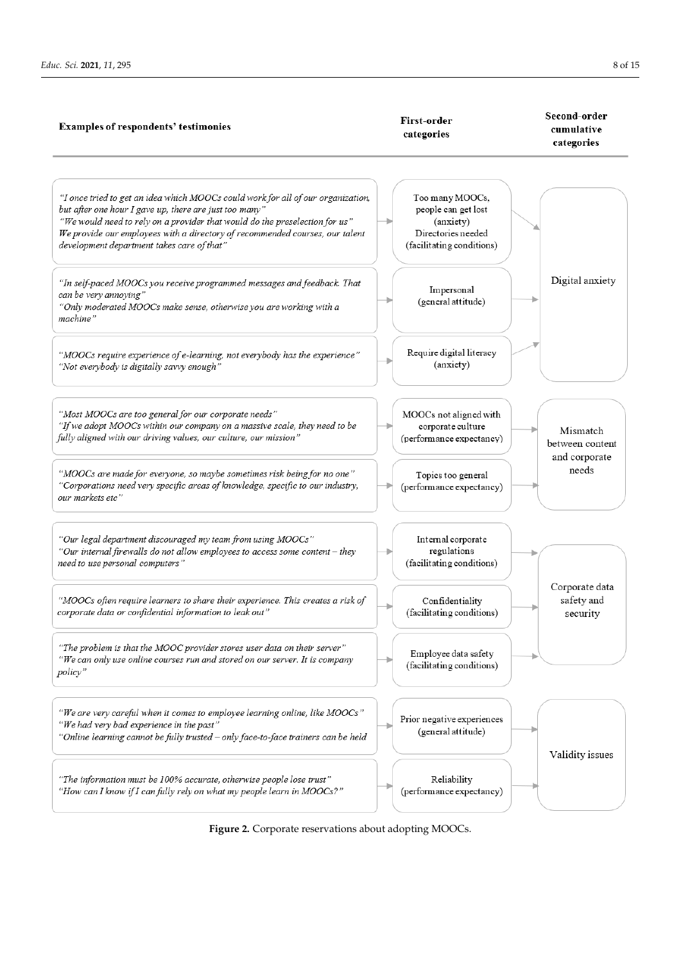<span id="page-7-0"></span>

**Figure 2.** Corporate reservations about adopting MOOCs. **Figure 2.** Corporate reservations about adopting MOOCs.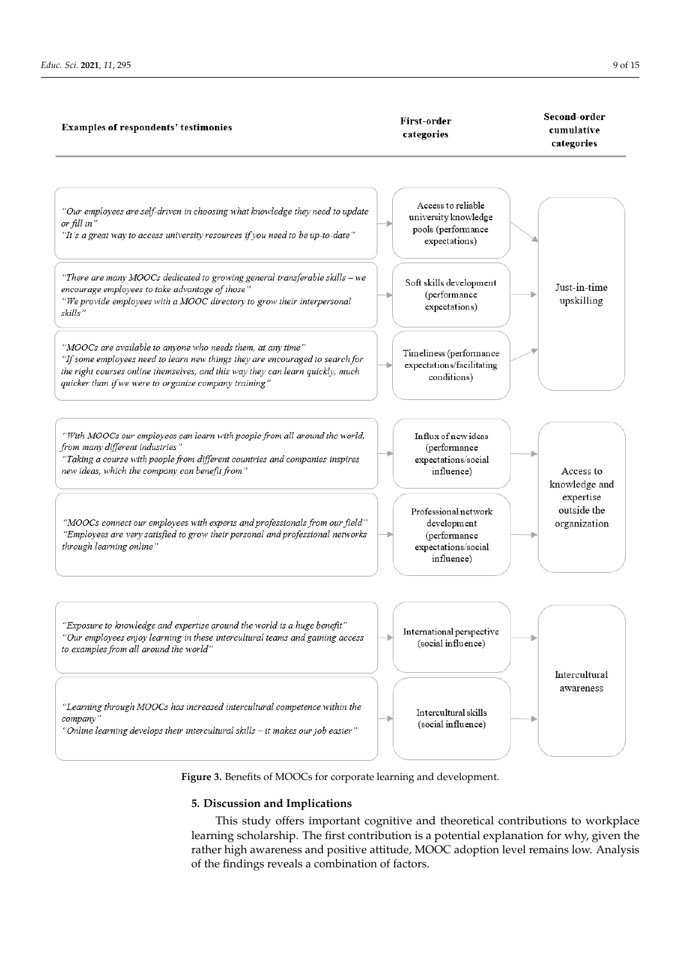<span id="page-8-0"></span>

**Figure 3.** Benefits of MOOCs for corporate learning and development. **Figure 3.** Benefits of MOOCs for corporate learning and development.

## **5. Discussion and Implications 5. Discussion and Implications**

This study offers important cognitive and theoretical contributions to workplace  $\frac{1}{1}$ learning scholarship. The first contribution is a potential explanation for why, given the learning scholarship. The first contribution is a potential explanation for why, given the rather high awareness and positive attitude, MOOC adoption level remains low. Analysis rather high awareness and positive attitude, MOOC adoption level remains low. Analysis of the findings reveals a combination of factors. of the findings reveals a combination of factors.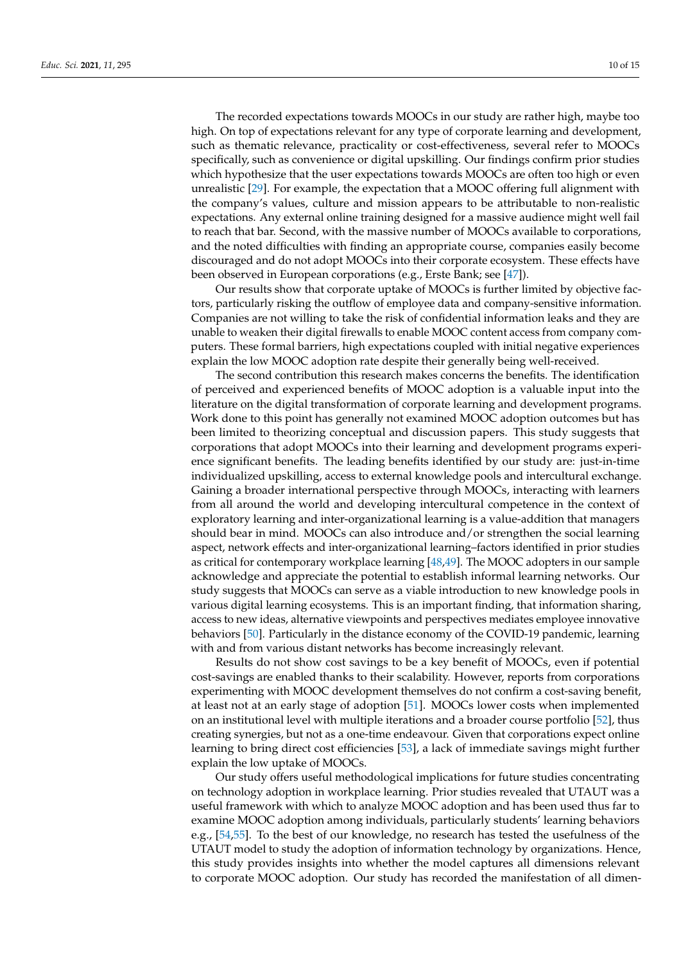The recorded expectations towards MOOCs in our study are rather high, maybe too high. On top of expectations relevant for any type of corporate learning and development, such as thematic relevance, practicality or cost-effectiveness, several refer to MOOCs specifically, such as convenience or digital upskilling. Our findings confirm prior studies which hypothesize that the user expectations towards MOOCs are often too high or even unrealistic [\[29\]](#page-13-8). For example, the expectation that a MOOC offering full alignment with the company's values, culture and mission appears to be attributable to non-realistic expectations. Any external online training designed for a massive audience might well fail to reach that bar. Second, with the massive number of MOOCs available to corporations, and the noted difficulties with finding an appropriate course, companies easily become discouraged and do not adopt MOOCs into their corporate ecosystem. These effects have been observed in European corporations (e.g., Erste Bank; see [\[47\]](#page-13-24)).

Our results show that corporate uptake of MOOCs is further limited by objective factors, particularly risking the outflow of employee data and company-sensitive information. Companies are not willing to take the risk of confidential information leaks and they are unable to weaken their digital firewalls to enable MOOC content access from company computers. These formal barriers, high expectations coupled with initial negative experiences explain the low MOOC adoption rate despite their generally being well-received.

The second contribution this research makes concerns the benefits. The identification of perceived and experienced benefits of MOOC adoption is a valuable input into the literature on the digital transformation of corporate learning and development programs. Work done to this point has generally not examined MOOC adoption outcomes but has been limited to theorizing conceptual and discussion papers. This study suggests that corporations that adopt MOOCs into their learning and development programs experience significant benefits. The leading benefits identified by our study are: just-in-time individualized upskilling, access to external knowledge pools and intercultural exchange. Gaining a broader international perspective through MOOCs, interacting with learners from all around the world and developing intercultural competence in the context of exploratory learning and inter-organizational learning is a value-addition that managers should bear in mind. MOOCs can also introduce and/or strengthen the social learning aspect, network effects and inter-organizational learning–factors identified in prior studies as critical for contemporary workplace learning [\[48,](#page-13-25)[49\]](#page-13-26). The MOOC adopters in our sample acknowledge and appreciate the potential to establish informal learning networks. Our study suggests that MOOCs can serve as a viable introduction to new knowledge pools in various digital learning ecosystems. This is an important finding, that information sharing, access to new ideas, alternative viewpoints and perspectives mediates employee innovative behaviors [\[50\]](#page-13-27). Particularly in the distance economy of the COVID-19 pandemic, learning with and from various distant networks has become increasingly relevant.

Results do not show cost savings to be a key benefit of MOOCs, even if potential cost-savings are enabled thanks to their scalability. However, reports from corporations experimenting with MOOC development themselves do not confirm a cost-saving benefit, at least not at an early stage of adoption [\[51\]](#page-13-28). MOOCs lower costs when implemented on an institutional level with multiple iterations and a broader course portfolio [\[52\]](#page-14-0), thus creating synergies, but not as a one-time endeavour. Given that corporations expect online learning to bring direct cost efficiencies [\[53\]](#page-14-1), a lack of immediate savings might further explain the low uptake of MOOCs.

Our study offers useful methodological implications for future studies concentrating on technology adoption in workplace learning. Prior studies revealed that UTAUT was a useful framework with which to analyze MOOC adoption and has been used thus far to examine MOOC adoption among individuals, particularly students' learning behaviors e.g., [\[54](#page-14-2)[,55\]](#page-14-3). To the best of our knowledge, no research has tested the usefulness of the UTAUT model to study the adoption of information technology by organizations. Hence, this study provides insights into whether the model captures all dimensions relevant to corporate MOOC adoption. Our study has recorded the manifestation of all dimen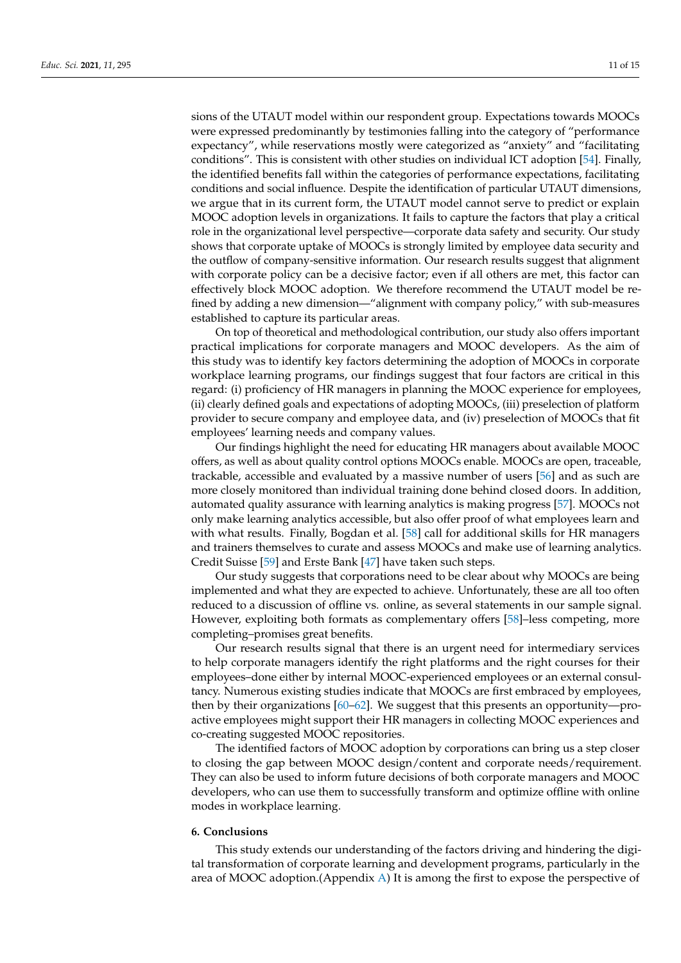sions of the UTAUT model within our respondent group. Expectations towards MOOCs were expressed predominantly by testimonies falling into the category of "performance expectancy", while reservations mostly were categorized as "anxiety" and "facilitating conditions". This is consistent with other studies on individual ICT adoption [\[54\]](#page-14-2). Finally, the identified benefits fall within the categories of performance expectations, facilitating conditions and social influence. Despite the identification of particular UTAUT dimensions, we argue that in its current form, the UTAUT model cannot serve to predict or explain MOOC adoption levels in organizations. It fails to capture the factors that play a critical role in the organizational level perspective—corporate data safety and security. Our study shows that corporate uptake of MOOCs is strongly limited by employee data security and the outflow of company-sensitive information. Our research results suggest that alignment with corporate policy can be a decisive factor; even if all others are met, this factor can effectively block MOOC adoption. We therefore recommend the UTAUT model be refined by adding a new dimension—"alignment with company policy," with sub-measures established to capture its particular areas.

On top of theoretical and methodological contribution, our study also offers important practical implications for corporate managers and MOOC developers. As the aim of this study was to identify key factors determining the adoption of MOOCs in corporate workplace learning programs, our findings suggest that four factors are critical in this regard: (i) proficiency of HR managers in planning the MOOC experience for employees, (ii) clearly defined goals and expectations of adopting MOOCs, (iii) preselection of platform provider to secure company and employee data, and (iv) preselection of MOOCs that fit employees' learning needs and company values.

Our findings highlight the need for educating HR managers about available MOOC offers, as well as about quality control options MOOCs enable. MOOCs are open, traceable, trackable, accessible and evaluated by a massive number of users [\[56\]](#page-14-4) and as such are more closely monitored than individual training done behind closed doors. In addition, automated quality assurance with learning analytics is making progress [\[57\]](#page-14-5). MOOCs not only make learning analytics accessible, but also offer proof of what employees learn and with what results. Finally, Bogdan et al. [\[58\]](#page-14-6) call for additional skills for HR managers and trainers themselves to curate and assess MOOCs and make use of learning analytics. Credit Suisse [\[59\]](#page-14-7) and Erste Bank [\[47\]](#page-13-24) have taken such steps.

Our study suggests that corporations need to be clear about why MOOCs are being implemented and what they are expected to achieve. Unfortunately, these are all too often reduced to a discussion of offline vs. online, as several statements in our sample signal. However, exploiting both formats as complementary offers [\[58\]](#page-14-6)–less competing, more completing–promises great benefits.

Our research results signal that there is an urgent need for intermediary services to help corporate managers identify the right platforms and the right courses for their employees–done either by internal MOOC-experienced employees or an external consultancy. Numerous existing studies indicate that MOOCs are first embraced by employees, then by their organizations [\[60](#page-14-8)[–62\]](#page-14-9). We suggest that this presents an opportunity—proactive employees might support their HR managers in collecting MOOC experiences and co-creating suggested MOOC repositories.

The identified factors of MOOC adoption by corporations can bring us a step closer to closing the gap between MOOC design/content and corporate needs/requirement. They can also be used to inform future decisions of both corporate managers and MOOC developers, who can use them to successfully transform and optimize offline with online modes in workplace learning.

## **6. Conclusions**

This study extends our understanding of the factors driving and hindering the digital transformation of corporate learning and development programs, particularly in the area of MOOC adoption. (Appendix [A\)](#page-11-0) It is among the first to expose the perspective of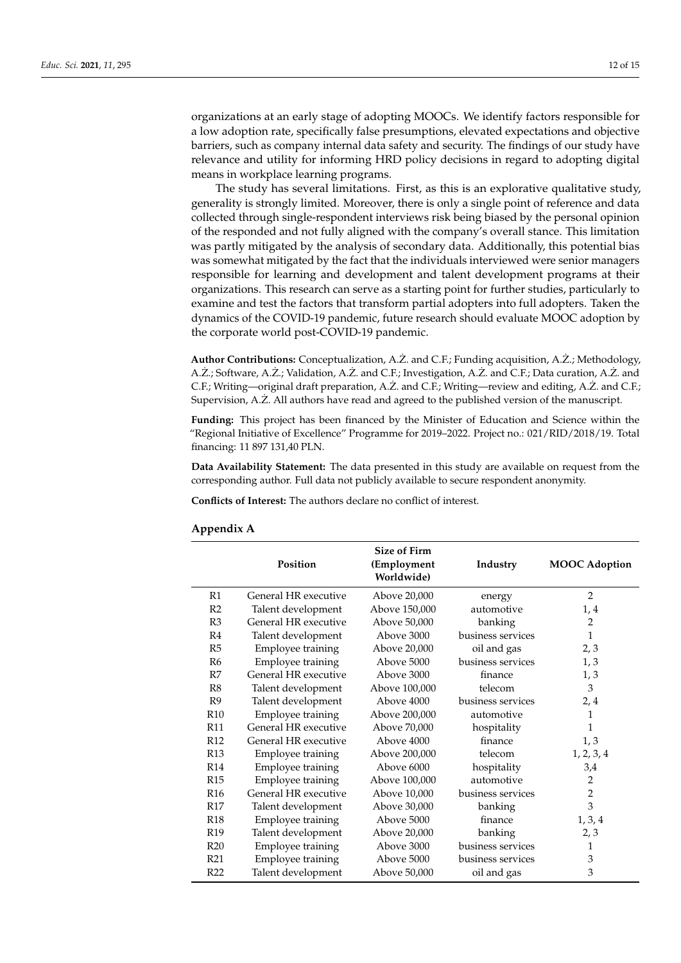organizations at an early stage of adopting MOOCs. We identify factors responsible for a low adoption rate, specifically false presumptions, elevated expectations and objective barriers, such as company internal data safety and security. The findings of our study have relevance and utility for informing HRD policy decisions in regard to adopting digital means in workplace learning programs.

The study has several limitations. First, as this is an explorative qualitative study, generality is strongly limited. Moreover, there is only a single point of reference and data collected through single-respondent interviews risk being biased by the personal opinion of the responded and not fully aligned with the company's overall stance. This limitation was partly mitigated by the analysis of secondary data. Additionally, this potential bias was somewhat mitigated by the fact that the individuals interviewed were senior managers responsible for learning and development and talent development programs at their organizations. This research can serve as a starting point for further studies, particularly to examine and test the factors that transform partial adopters into full adopters. Taken the dynamics of the COVID-19 pandemic, future research should evaluate MOOC adoption by the corporate world post-COVID-19 pandemic.

**Author Contributions:** Conceptualization, A.Z. and C.F.; Funding acquisition, A.Z.; Methodology, A. Ż.; Software, A. Ż.; Validation, A. Ż. and C. F.; Investigation, A. Ż. and C. F.; Data curation, A. Ż. and C.F.; Writing—original draft preparation, A.Z. and C.F.; Writing—review and editing, A.Z. and C.F.; Supervision, A.Z. All authors have read and agreed to the published version of the manuscript.

**Funding:** This project has been financed by the Minister of Education and Science within the "Regional Initiative of Excellence" Programme for 2019–2022. Project no.: 021/RID/2018/19. Total financing: 11 897 131,40 PLN.

**Data Availability Statement:** The data presented in this study are available on request from the corresponding author. Full data not publicly available to secure respondent anonymity.

**Conflicts of Interest:** The authors declare no conflict of interest.

|                 | Position             | Size of Firm<br>(Employment<br>Worldwide) | Industry          | <b>MOOC</b> Adoption |
|-----------------|----------------------|-------------------------------------------|-------------------|----------------------|
| R1              | General HR executive | Above 20,000                              | energy            | $\overline{2}$       |
| R <sub>2</sub>  | Talent development   | Above 150,000                             | automotive        | 1, 4                 |
| R <sub>3</sub>  | General HR executive | Above 50,000                              | banking           | $\overline{2}$       |
| R4              | Talent development   | Above 3000                                | business services | 1                    |
| R <sub>5</sub>  | Employee training    | Above 20,000                              | oil and gas       | 2,3                  |
| R6              | Employee training    | Above 5000                                | business services | 1, 3                 |
| R7              | General HR executive | Above 3000                                | finance           | 1, 3                 |
| R8              | Talent development   | Above 100,000                             | telecom           | $\mathfrak{Z}$       |
| R <sub>9</sub>  | Talent development   | Above 4000                                | business services | 2, 4                 |
| <b>R10</b>      | Employee training    | Above 200,000                             | automotive        | 1                    |
| <b>R11</b>      | General HR executive | Above 70,000                              | hospitality       | 1                    |
| R <sub>12</sub> | General HR executive | Above 4000                                | finance           | 1, 3                 |
| R <sub>13</sub> | Employee training    | Above 200,000                             | telecom           | 1, 2, 3, 4           |
| <b>R14</b>      | Employee training    | Above 6000                                | hospitality       | 3,4                  |
| R <sub>15</sub> | Employee training    | Above 100,000                             | automotive        | $\overline{c}$       |
| <b>R16</b>      | General HR executive | Above 10,000                              | business services | $\mathbf{2}$         |
| R <sub>17</sub> | Talent development   | Above 30,000                              | banking           | 3                    |
| <b>R18</b>      | Employee training    | Above 5000                                | finance           | 1, 3, 4              |
| R <sub>19</sub> | Talent development   | Above 20,000                              | banking           | 2, 3                 |
| R20             | Employee training    | Above 3000                                | business services | 1                    |
| R21             | Employee training    | Above 5000                                | business services | 3                    |
| R <sub>22</sub> | Talent development   | Above 50,000                              | oil and gas       | 3                    |

## <span id="page-11-0"></span>**Appendix A**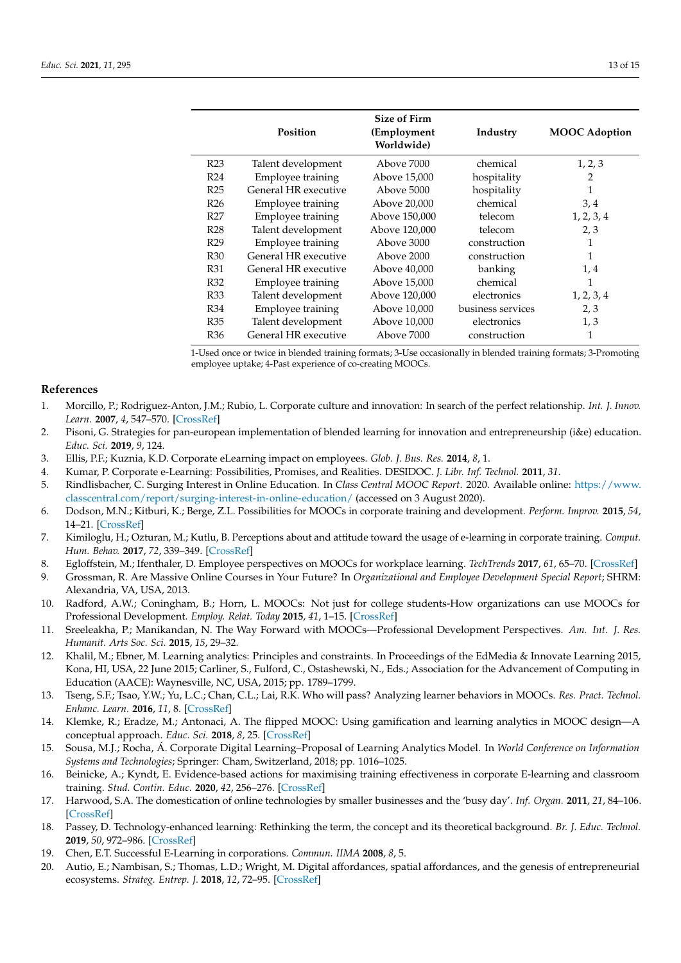|                 | Position             | Size of Firm<br>(Employment<br>Worldwide) | Industry          | <b>MOOC</b> Adoption |
|-----------------|----------------------|-------------------------------------------|-------------------|----------------------|
| R <sub>23</sub> | Talent development   | Above 7000                                | chemical          | 1, 2, 3              |
| R <sub>24</sub> | Employee training    | Above 15,000                              | hospitality       | 2                    |
| R <sub>25</sub> | General HR executive | Above 5000                                | hospitality       | 1                    |
| R <sub>26</sub> | Employee training    | Above 20,000                              | chemical          | 3,4                  |
| R <sub>27</sub> | Employee training    | Above 150,000                             | telecom           | 1, 2, 3, 4           |
| R <sub>28</sub> | Talent development   | Above 120,000                             | telecom           | 2, 3                 |
| R <sub>29</sub> | Employee training    | Above 3000                                | construction      | $\mathbf{1}$         |
| <b>R30</b>      | General HR executive | Above 2000                                | construction      | 1                    |
| R31             | General HR executive | Above 40,000                              | banking           | 1,4                  |
| R32             | Employee training    | Above 15,000                              | chemical          | 1                    |
| <b>R33</b>      | Talent development   | Above 120,000                             | electronics       | 1, 2, 3, 4           |
| <b>R34</b>      | Employee training    | Above 10,000                              | business services | 2, 3                 |
| <b>R35</b>      | Talent development   | Above 10,000                              | electronics       | 1, 3                 |
| R36             | General HR executive | Above 7000                                | construction      | 1                    |

1-Used once or twice in blended training formats; 3-Use occasionally in blended training formats; 3-Promoting employee uptake; 4-Past experience of co-creating MOOCs.

#### **References**

- <span id="page-12-0"></span>1. Morcillo, P.; Rodriguez-Anton, J.M.; Rubio, L. Corporate culture and innovation: In search of the perfect relationship. *Int. J. Innov. Learn.* **2007**, *4*, 547–570. [\[CrossRef\]](http://doi.org/10.1504/IJIL.2007.013448)
- <span id="page-12-1"></span>2. Pisoni, G. Strategies for pan-european implementation of blended learning for innovation and entrepreneurship (i&e) education. *Educ. Sci.* **2019**, *9*, 124.
- <span id="page-12-2"></span>3. Ellis, P.F.; Kuznia, K.D. Corporate eLearning impact on employees. *Glob. J. Bus. Res.* **2014**, *8*, 1.
- <span id="page-12-16"></span>4. Kumar, P. Corporate e-Learning: Possibilities, Promises, and Realities. DESIDOC. *J. Libr. Inf. Technol.* **2011**, *31*.
- <span id="page-12-3"></span>5. Rindlisbacher, C. Surging Interest in Online Education. In *Class Central MOOC Report*. 2020. Available online: [https://www.](https://www.classcentral.com/report/surging-interest-in-online-education/) [classcentral.com/report/surging-interest-in-online-education/](https://www.classcentral.com/report/surging-interest-in-online-education/) (accessed on 3 August 2020).
- <span id="page-12-4"></span>6. Dodson, M.N.; Kitburi, K.; Berge, Z.L. Possibilities for MOOCs in corporate training and development. *Perform. Improv.* **2015**, *54*, 14–21. [\[CrossRef\]](http://doi.org/10.1002/pfi.21532)
- <span id="page-12-5"></span>7. Kimiloglu, H.; Ozturan, M.; Kutlu, B. Perceptions about and attitude toward the usage of e-learning in corporate training. *Comput. Hum. Behav.* **2017**, *72*, 339–349. [\[CrossRef\]](http://doi.org/10.1016/j.chb.2017.02.062)
- <span id="page-12-6"></span>8. Egloffstein, M.; Ifenthaler, D. Employee perspectives on MOOCs for workplace learning. *TechTrends* **2017**, *61*, 65–70. [\[CrossRef\]](http://doi.org/10.1007/s11528-016-0127-3)
- 9. Grossman, R. Are Massive Online Courses in Your Future? In *Organizational and Employee Development Special Report*; SHRM: Alexandria, VA, USA, 2013.
- 10. Radford, A.W.; Coningham, B.; Horn, L. MOOCs: Not just for college students-How organizations can use MOOCs for Professional Development. *Employ. Relat. Today* **2015**, *41*, 1–15. [\[CrossRef\]](http://doi.org/10.1002/ert.21469)
- <span id="page-12-7"></span>11. Sreeleakha, P.; Manikandan, N. The Way Forward with MOOCs—Professional Development Perspectives. *Am. Int. J. Res. Humanit. Arts Soc. Sci.* **2015**, *15*, 29–32.
- <span id="page-12-8"></span>12. Khalil, M.; Ebner, M. Learning analytics: Principles and constraints. In Proceedings of the EdMedia & Innovate Learning 2015, Kona, HI, USA, 22 June 2015; Carliner, S., Fulford, C., Ostashewski, N., Eds.; Association for the Advancement of Computing in Education (AACE): Waynesville, NC, USA, 2015; pp. 1789–1799.
- 13. Tseng, S.F.; Tsao, Y.W.; Yu, L.C.; Chan, C.L.; Lai, R.K. Who will pass? Analyzing learner behaviors in MOOCs. *Res. Pract. Technol. Enhanc. Learn.* **2016**, *11*, 8. [\[CrossRef\]](http://doi.org/10.1186/s41039-016-0033-5)
- <span id="page-12-9"></span>14. Klemke, R.; Eradze, M.; Antonaci, A. The flipped MOOC: Using gamification and learning analytics in MOOC design—A conceptual approach. *Educ. Sci.* **2018**, *8*, 25. [\[CrossRef\]](http://doi.org/10.3390/educsci8010025)
- <span id="page-12-10"></span>15. Sousa, M.J.; Rocha, Á. Corporate Digital Learning–Proposal of Learning Analytics Model. In *World Conference on Information Systems and Technologies*; Springer: Cham, Switzerland, 2018; pp. 1016–1025.
- <span id="page-12-11"></span>16. Beinicke, A.; Kyndt, E. Evidence-based actions for maximising training effectiveness in corporate E-learning and classroom training. *Stud. Contin. Educ.* **2020**, *42*, 256–276. [\[CrossRef\]](http://doi.org/10.1080/0158037X.2019.1608940)
- <span id="page-12-12"></span>17. Harwood, S.A. The domestication of online technologies by smaller businesses and the 'busy day'. *Inf. Organ.* **2011**, *21*, 84–106. [\[CrossRef\]](http://doi.org/10.1016/j.infoandorg.2011.03.002)
- <span id="page-12-13"></span>18. Passey, D. Technology-enhanced learning: Rethinking the term, the concept and its theoretical background. *Br. J. Educ. Technol.* **2019**, *50*, 972–986. [\[CrossRef\]](http://doi.org/10.1111/bjet.12783)
- <span id="page-12-14"></span>19. Chen, E.T. Successful E-Learning in corporations. *Commun. IIMA* **2008**, *8*, 5.
- <span id="page-12-15"></span>20. Autio, E.; Nambisan, S.; Thomas, L.D.; Wright, M. Digital affordances, spatial affordances, and the genesis of entrepreneurial ecosystems. *Strateg. Entrep. J.* **2018**, *12*, 72–95. [\[CrossRef\]](http://doi.org/10.1002/sej.1266)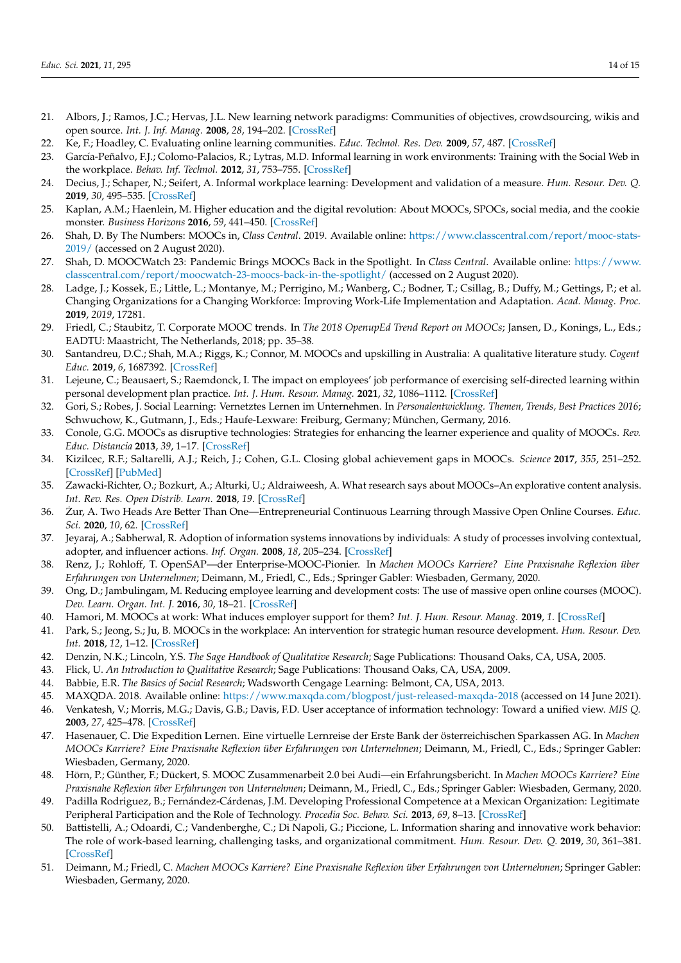- <span id="page-13-0"></span>21. Albors, J.; Ramos, J.C.; Hervas, J.L. New learning network paradigms: Communities of objectives, crowdsourcing, wikis and open source. *Int. J. Inf. Manag.* **2008**, *28*, 194–202. [\[CrossRef\]](http://doi.org/10.1016/j.ijinfomgt.2007.09.006)
- <span id="page-13-1"></span>22. Ke, F.; Hoadley, C. Evaluating online learning communities. *Educ. Technol. Res. Dev.* **2009**, *57*, 487. [\[CrossRef\]](http://doi.org/10.1007/s11423-009-9120-2)
- <span id="page-13-2"></span>García-Peñalvo, F.J.; Colomo-Palacios, R.; Lytras, M.D. Informal learning in work environments: Training with the Social Web in the workplace. *Behav. Inf. Technol.* **2012**, *31*, 753–755. [\[CrossRef\]](http://doi.org/10.1080/0144929X.2012.661548)
- <span id="page-13-3"></span>24. Decius, J.; Schaper, N.; Seifert, A. Informal workplace learning: Development and validation of a measure. *Hum. Resour. Dev. Q.* **2019**, *30*, 495–535. [\[CrossRef\]](http://doi.org/10.1002/hrdq.21368)
- <span id="page-13-4"></span>25. Kaplan, A.M.; Haenlein, M. Higher education and the digital revolution: About MOOCs, SPOCs, social media, and the cookie monster. *Business Horizons* **2016**, *59*, 441–450. [\[CrossRef\]](http://doi.org/10.1016/j.bushor.2016.03.008)
- <span id="page-13-5"></span>26. Shah, D. By The Numbers: MOOCs in, *Class Central*. 2019. Available online: [https://www.classcentral.com/report/mooc-stats-](https://www.classcentral.com/report/mooc-stats-2019/)[2019/](https://www.classcentral.com/report/mooc-stats-2019/) (accessed on 2 August 2020).
- <span id="page-13-6"></span>27. Shah, D. MOOCWatch 23: Pandemic Brings MOOCs Back in the Spotlight. In *Class Central*. Available online: [https://www.](https://www.classcentral.com/report/moocwatch-23-moocs-back-in-the-spotlight/) [classcentral.com/report/moocwatch-23-moocs-back-in-the-spotlight/](https://www.classcentral.com/report/moocwatch-23-moocs-back-in-the-spotlight/) (accessed on 2 August 2020).
- <span id="page-13-7"></span>28. Ladge, J.; Kossek, E.; Little, L.; Montanye, M.; Perrigino, M.; Wanberg, C.; Bodner, T.; Csillag, B.; Duffy, M.; Gettings, P.; et al. Changing Organizations for a Changing Workforce: Improving Work-Life Implementation and Adaptation. *Acad. Manag. Proc.* **2019**, *2019*, 17281.
- <span id="page-13-8"></span>29. Friedl, C.; Staubitz, T. Corporate MOOC trends. In *The 2018 OpenupEd Trend Report on MOOCs*; Jansen, D., Konings, L., Eds.; EADTU: Maastricht, The Netherlands, 2018; pp. 35–38.
- <span id="page-13-9"></span>30. Santandreu, D.C.; Shah, M.A.; Riggs, K.; Connor, M. MOOCs and upskilling in Australia: A qualitative literature study. *Cogent Educ.* **2019**, *6*, 1687392. [\[CrossRef\]](http://doi.org/10.1080/2331186X.2019.1687392)
- <span id="page-13-10"></span>31. Lejeune, C.; Beausaert, S.; Raemdonck, I. The impact on employees' job performance of exercising self-directed learning within personal development plan practice. *Int. J. Hum. Resour. Manag.* **2021**, *32*, 1086–1112. [\[CrossRef\]](http://doi.org/10.1080/09585192.2018.1510848)
- <span id="page-13-11"></span>32. Gori, S.; Robes, J. Social Learning: Vernetztes Lernen im Unternehmen. In *Personalentwicklung. Themen, Trends, Best Practices 2016*; Schwuchow, K., Gutmann, J., Eds.; Haufe-Lexware: Freiburg, Germany; München, Germany, 2016.
- <span id="page-13-12"></span>33. Conole, G.G. MOOCs as disruptive technologies: Strategies for enhancing the learner experience and quality of MOOCs. *Rev. Educ. Distancia* **2013**, *39*, 1–17. [\[CrossRef\]](http://doi.org/10.6018/red/50/2)
- 34. Kizilcec, R.F.; Saltarelli, A.J.; Reich, J.; Cohen, G.L. Closing global achievement gaps in MOOCs. *Science* **2017**, *355*, 251–252. [\[CrossRef\]](http://doi.org/10.1126/science.aag2063) [\[PubMed\]](http://www.ncbi.nlm.nih.gov/pubmed/28104856)
- 35. Zawacki-Richter, O.; Bozkurt, A.; Alturki, U.; Aldraiweesh, A. What research says about MOOCs–An explorative content analysis. *Int. Rev. Res. Open Distrib. Learn.* **2018**, *19*. [\[CrossRef\]](http://doi.org/10.19173/irrodl.v19i1.3356)
- <span id="page-13-13"></span>36. Zur, A. Two Heads Are Better Than One—Entrepreneurial Continuous Learning through Massive Open Online Courses. ˙ *Educ. Sci.* **2020**, *10*, 62. [\[CrossRef\]](http://doi.org/10.3390/educsci10030062)
- <span id="page-13-14"></span>37. Jeyaraj, A.; Sabherwal, R. Adoption of information systems innovations by individuals: A study of processes involving contextual, adopter, and influencer actions. *Inf. Organ.* **2008**, *18*, 205–234. [\[CrossRef\]](http://doi.org/10.1016/j.infoandorg.2008.04.001)
- <span id="page-13-15"></span>38. Renz, J.; Rohloff, T. OpenSAP—der Enterprise-MOOC-Pionier. In *Machen MOOCs Karriere? Eine Praxisnahe Reflexion über Erfahrungen von Unternehmen*; Deimann, M., Friedl, C., Eds.; Springer Gabler: Wiesbaden, Germany, 2020.
- <span id="page-13-16"></span>39. Ong, D.; Jambulingam, M. Reducing employee learning and development costs: The use of massive open online courses (MOOC). *Dev. Learn. Organ. Int. J.* **2016**, *30*, 18–21. [\[CrossRef\]](http://doi.org/10.1108/DLO-08-2015-0066)
- <span id="page-13-17"></span>40. Hamori, M. MOOCs at work: What induces employer support for them? *Int. J. Hum. Resour. Manag.* **2019**, *1*. [\[CrossRef\]](http://doi.org/10.1080/09585192.2019.1616593)
- <span id="page-13-18"></span>41. Park, S.; Jeong, S.; Ju, B. MOOCs in the workplace: An intervention for strategic human resource development. *Hum. Resour. Dev. Int.* **2018**, *12*, 1–12. [\[CrossRef\]](http://doi.org/10.1080/13678868.2018.1516062)
- <span id="page-13-19"></span>42. Denzin, N.K.; Lincoln, Y.S. *The Sage Handbook of Qualitative Research*; Sage Publications: Thousand Oaks, CA, USA, 2005.
- <span id="page-13-20"></span>43. Flick, U. *An Introduction to Qualitative Research*; Sage Publications: Thousand Oaks, CA, USA, 2009.
- <span id="page-13-21"></span>44. Babbie, E.R. *The Basics of Social Research*; Wadsworth Cengage Learning: Belmont, CA, USA, 2013.
- <span id="page-13-23"></span><span id="page-13-22"></span>45. MAXQDA. 2018. Available online: <https://www.maxqda.com/blogpost/just-released-maxqda-2018> (accessed on 14 June 2021). 46. Venkatesh, V.; Morris, M.G.; Davis, G.B.; Davis, F.D. User acceptance of information technology: Toward a unified view. *MIS Q.*
- **2003**, *27*, 425–478. [\[CrossRef\]](http://doi.org/10.2307/30036540) 47. Hasenauer, C. Die Expedition Lernen. Eine virtuelle Lernreise der Erste Bank der österreichischen Sparkassen AG. In *Machen*
- <span id="page-13-24"></span>*MOOCs Karriere? Eine Praxisnahe Reflexion über Erfahrungen von Unternehmen*; Deimann, M., Friedl, C., Eds.; Springer Gabler: Wiesbaden, Germany, 2020.
- <span id="page-13-25"></span>48. Hörn, P.; Günther, F.; Dückert, S. MOOC Zusammenarbeit 2.0 bei Audi—ein Erfahrungsbericht. In *Machen MOOCs Karriere? Eine Praxisnahe Reflexion über Erfahrungen von Unternehmen*; Deimann, M., Friedl, C., Eds.; Springer Gabler: Wiesbaden, Germany, 2020.
- <span id="page-13-26"></span>49. Padilla Rodriguez, B.; Fernández-Cárdenas, J.M. Developing Professional Competence at a Mexican Organization: Legitimate Peripheral Participation and the Role of Technology. *Procedia Soc. Behav. Sci.* **2013**, *69*, 8–13. [\[CrossRef\]](http://doi.org/10.1016/j.sbspro.2012.11.376)
- <span id="page-13-27"></span>50. Battistelli, A.; Odoardi, C.; Vandenberghe, C.; Di Napoli, G.; Piccione, L. Information sharing and innovative work behavior: The role of work-based learning, challenging tasks, and organizational commitment. *Hum. Resour. Dev. Q.* **2019**, *30*, 361–381. [\[CrossRef\]](http://doi.org/10.1002/hrdq.21344)
- <span id="page-13-28"></span>51. Deimann, M.; Friedl, C. *Machen MOOCs Karriere? Eine Praxisnahe Reflexion über Erfahrungen von Unternehmen*; Springer Gabler: Wiesbaden, Germany, 2020.